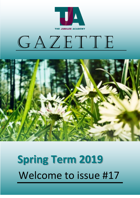

# GAZETTE



# Welcome to issue #17 **Spring Term 2019**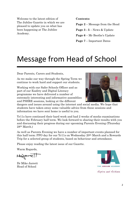Welcome to the latest edition of The Jubilee Gazette in which we are pleased to update you on what has been happening at The Jubilee Academy.

#### **Contents:**

**Page 2** – Message from the Head

**Page 3 - 5** – News & Update

**Page 6** – Mr Boothe's Update

**Page 7** – Important Dates

## Message from Head of School

Dear Parents, Carers and Students,

As we make our way through the Spring Term we continue to work hard and support our students.

Working with our Safer Schools Officer and as part of our Esafety and Digital Literacy programme we have delivered a number of extremely interesting and informative assemblies and PSHRE sessions, looking at the different

dangers and issues around using the internet and social media. We hope that students have taken away some valuable advice from these sessions and information we have sent home is useful to you.

Yr11s have continued their hard work and had 2 weeks of mocks examinations before the February half term. We look forward to sharing their results with you and discussing their progress during our upcoming Parents Evening (Thursday 28th March.)

As well as Parents Evening we have a number of important events planned for this half term: PFO day for our Yr11s on Wednesday 20th March and a Rewards Trip for a selected group of students, based on behaviour and attendance.

Please enjoy reading the latest issue of our Gazette.

Warm Regards,

Hederici

Dr Mike Jarrett Head of School



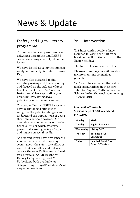# News & Update

## Esafety and Digital Literacy programme

Throughout February we have been delivering assemblies and PSHRE sessions covering a variety of online issues.

We have looked at using the internet safely and sensibly for Safer Internet Day.

We have also discussed topics including sexting and live streaming and focused on the safe use of apps like TikTok, Twitch, YouTube and Instagram. (These apps allow you to broadcast live, giving away potentially sensitive information).

The assemblies and PSHRE sessions have really helped students to recognise the potential dangers and understand the implications of using these apps on their devices. One assembly was delivered by our Safer Schools Officier which was very powerful discussing safety of apps and images on social media.

As a parent if you have any concerns - no matter how small they may seem - about the safety or welfare of your child or another child please contact the school's Designated Lead for Safeguarding, Mr Boothe or Deputy Safeguarding Lead Mr Sutherland, both available at: SafeguardingGroup@TheJubileeAcad emy.onmicrosoft.com

## Yr 11 Intervention

Y11 intervention sessions have resumed following the half term break and will continue up until the Easter holidays.

The timetable can be seen below.

Please encourage your child to stay for interventions as much as possible.

Yr11s will be sitting another set of mock examinations in their core subjects, English, Mathematics and Science during the week commencing 1st April 2019.

#### **Intervention Timetable**

**Sessions begin at 3.10pm and end at 4.10pm.**

| Monday          | <b>Maths</b>                                                   |
|-----------------|----------------------------------------------------------------|
| Tuesday         | <b>English &amp; Science</b>                                   |
| Wednesday       | <b>History &amp; PE</b>                                        |
| <b>Thursday</b> | <b>Business &amp; ICT</b><br><b>Languages</b>                  |
| Friday          | <b>Health &amp; Social Care</b><br><b>Travel &amp; Tourism</b> |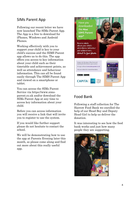## SIMs Parent App

Following our recent letter we have now launched The SIMs Parent App. The App is a free to download for iPhones, Windows and Android Phones.

Working effectively with you to support your child is key to your child's success and the SIMS Parent app allows us to do this. The app offers you access to key information about your child such as their timetable and achievement points, as well as attendance and behaviour information. This can all be found easily through The SIMS Parent App and viewed on a smartphone or tablet.

You can access the SIMs Parent Service via https://www.simsparent.co.uk and/or download the SIMs Parent App at any time to access key information about your child.

Before you can access information you will receive a link that will invite you to register to use the system.

If you would like further support please do not hesitate to contact the school.

We will be demonstrating how to use the app at Parents Evening later this month, so please come along and find out more about this really useful app.



## Food Bank

Following a staff collection for The Harrow Food Bank we enrolled the help of our Head Boy and Deputy Head Girl to help us deliver the donation.

It was interesting to see how the food bank works and just how many people they are supporting.

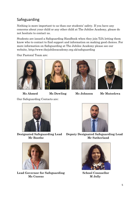## Safeguarding

Nothing is more important to us than our students' safety. If you have any concerns about your child or any other child at The Jubilee Academy, please do not hesitate to contact us.

Students are issued a Safeguarding Handbook when they join TJA letting them know who to contact to find support and information on making good choices. For more information on Safeguarding at The Jubilee Academy please see our website, http://www.thejubileeacademy.org.uk/safeguarding

Our Pastoral Team are:









 **Ms Ahmed Ms Dowling Ms Johnson Mr Mutsekwa**

Our Safeguarding Contacts are:





Lead Governor for Safeguarding School Counsellor  **Ms Cozens M Jolly**



**Designated Safeguarding Lead Deputy Designated Safeguarding Lead Mr Boothe Mr Sutherland**

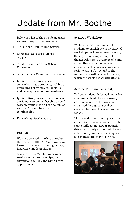# Update from Mr. Boothe

Below is a list of the outside agencies we use to support our students.

- "Talk it out" Counselling Service
- Compass Substance Misuse Support
- Mindfulness with our School Counsellor
- Stop Smoking Cessation Programme
- Ignite  $-1:1$  mentoring sessions with some of our male students, looking at improving behaviour, social skills and developing emotional resilience.
- Ignite Group sessions with some of our female students, focusing on self esteem, confidence and self worth, as well as CSE and healthy relationships
- Educational Psychologists

## **PSHRE**

We have covered a variety of topics this term in PSHRE. Topics we have looked at include: managing money, insurance and loan sharks.

Specifically for Yr 11s, we have had sessions on apprenticeships, CV writing and college and Sixth Form applications.

#### **Synergy Workshop**

We have selected a number of students to participate in a course of workshops with an external agency, Synergy. Exploring a range of themes relating to young people and crime, these workshops cover elements such as performance and script writing. At the end of the course there will be a performance, which the whole school will attend.

### **Jessica Plummer Assembly**

To keep students informed and raise awareness about the increasingly dangerous issue of knife crime, we organised for a guest speaker, Jessica Plummer, to come into the school.

The assembly was really powerful as Jessica talked about how she lost her son to knife crime, how traumatic this was not only for her but the rest of her family and how this tragedy has changed their lives forever.

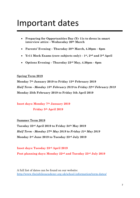## Important dates

- **Preparing for Opportunities Day (Yr 11s to dress in smart interview attire – Wednesday 20th March**
- **Parents' Evening – Thursday 28th March, 4.30pm – 6pm**
- **Yr11 Mock Exams (core subjects only) – 1st, 2nd and 3rd April**
- **Options Evening – Thursday 23rd May, 4.30pm – 6pm**

### **Spring Term 2019**

**Monday 7th January 2019 to Friday 15th February 2019** *Half Term - Monday 18th February 2019 to Friday 22nd February 2019* **Monday 25th February 2019 to Friday 5th April 2019**

**Inset days: Monday 7th January 2019**

### **Friday 5th April 2019**

### **Summer Term 2019**

**Tuesday 23rd April 2019 to Friday 24th May 2019** *Half Term - Monday 27th May 2019 to Friday 31st May 2019* **Monday 3rd June 2019 to Tuesday 23rd July 2019**

**Inset days: Tuesday 23rd April 2019 Post planning days: Monday 22nd and Tuesday 23rd July 2019**

A full list of dates can be found on our website: <http://www.thejubileeacademy.org.uk/school-information/term-dates/>